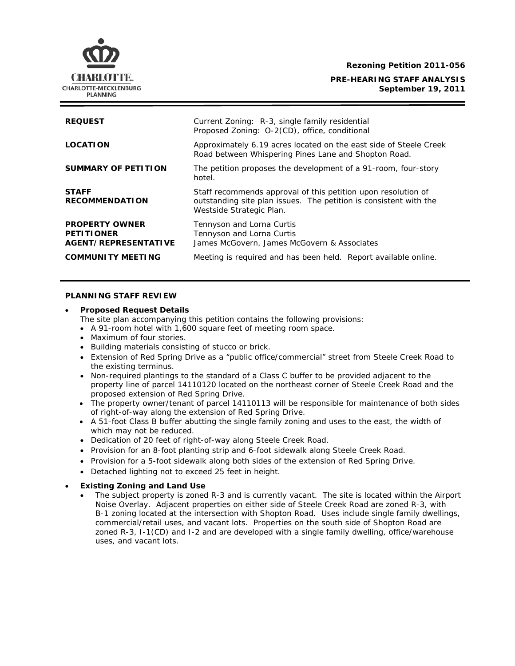**Rezoning Petition 2011-056** 

### **PRE-HEARING STAFF ANALYSIS September 19, 2011**



# **PLANNING STAFF REVIEW**

#### • **Proposed Request Details**

The site plan accompanying this petition contains the following provisions:

- A 91-room hotel with 1,600 square feet of meeting room space.
- Maximum of four stories.
- Building materials consisting of stucco or brick.
- Extension of Red Spring Drive as a "public office/commercial" street from Steele Creek Road to the existing terminus.
- property line of parcel 14110120 located on the northeast corner of Steele Creek Road and the • Non-required plantings to the standard of a Class C buffer to be provided adjacent to the proposed extension of Red Spring Drive.
- The property owner/tenant of parcel 14110113 will be responsible for maintenance of both sides of right-of-way along the extension of Red Spring Drive.
- A 51-foot Class B buffer abutting the single family zoning and uses to the east, the width of which may not be reduced.
- Dedication of 20 feet of right-of-way along Steele Creek Road.
- Provision for an 8-foot planting strip and 6-foot sidewalk along Steele Creek Road.
- Provision for a 5-foot sidewalk along both sides of the extension of Red Spring Drive.
- Detached lighting not to exceed 25 feet in height.

### • **Existing Zoning and Land Use**

• The subject property is zoned R-3 and is currently vacant. The site is located within the Airport Noise Overlay. Adjacent properties on either side of Steele Creek Road are zoned R-3, with B-1 zoning located at the intersection with Shopton Road. Uses include single family dwellings, commercial/retail uses, and vacant lots. Properties on the south side of Shopton Road are zoned R-3, I-1(CD) and I-2 and are developed with a single family dwelling, office/warehouse uses, and vacant lots.

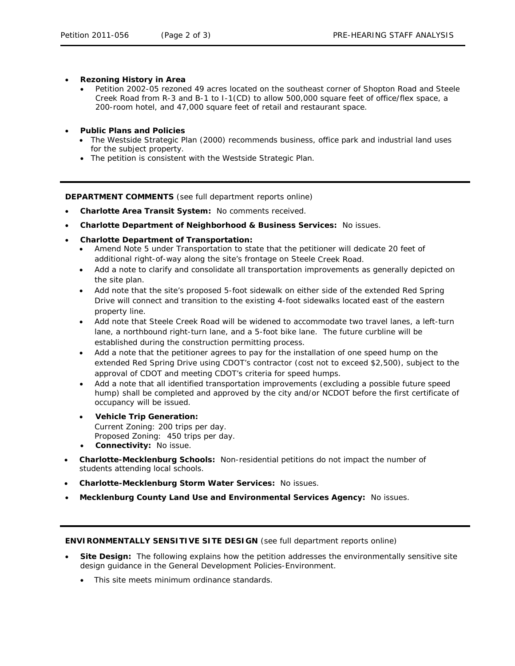- **Rezoning History in Area** 
	- Petition 2002-05 rezoned 49 acres located on the southeast corner of Shopton Road and Steele Creek Road from R-3 and B-1 to I-1(CD) to allow 500,000 square feet of office/flex space, a 200-room hotel, and 47,000 square feet of retail and restaurant space.
- **Public Plans and Policies** 
	- The *Westside Strategic Plan* (2000) recommends business, office park and industrial land uses for the subject property.
	- The petition is consistent with the *Westside Strategic Plan*.

**DEPARTMENT COMMENTS** (see full department reports online)

- **Charlotte Area Transit System:** No comments received.
- **Charlotte Department of Neighborhood & Business Services:** No issues. •
- **Charlotte Department of Transportation:**
	- Amend Note 5 under Transportation to state that the petitioner will dedicate 20 feet of additional right-of-way along the site's frontage on Steele Creek Road.
	- Add a note to clarify and consolidate all transportation improvements as generally depicted on the site plan.
	- Add note that the site's proposed 5-foot sidewalk on either side of the extended Red Spring Drive will connect and transition to the existing 4-foot sidewalks located east of the eastern property line.
	- Add note that Steele Creek Road will be widened to accommodate two travel lanes, a left-turn lane, a northbound right-turn lane, and a 5-foot bike lane. The future curbline will be established during the construction permitting process.
	- Add a note that the petitioner agrees to pay for the installation of one speed hump on the extended Red Spring Drive using CDOT's contractor (cost not to exceed \$2,500), subject to the approval of CDOT and meeting CDOT's criteria for speed humps.
	- Add a note that all identified transportation improvements (excluding a possible future speed hump) shall be completed and approved by the city and/or NCDOT before the first certificate of occupancy will be issued.
	- **Vehicle Trip Generation:** Current Zoning: 200 trips per day. Proposed Zoning: 450 trips per day.
	- **Connectivity:** No issue.
- **Charlotte-Mecklenburg Schools:** Non-residential petitions do not impact the number of students attending local schools.
- **Charlotte-Mecklenburg Storm Water Services: No issues.**
- **Mecklenburg County Land Use and Environmental Services Agency:** No issues.

# **ENVIRONMENTALLY SENSITIVE SITE DESIGN** (see full department reports online)

- **Site Design:** The following explains how the petition addresses the environmentally sensitive site design guidance in the *General Development Policies-Environment*.
	- This site meets minimum ordinance standards.